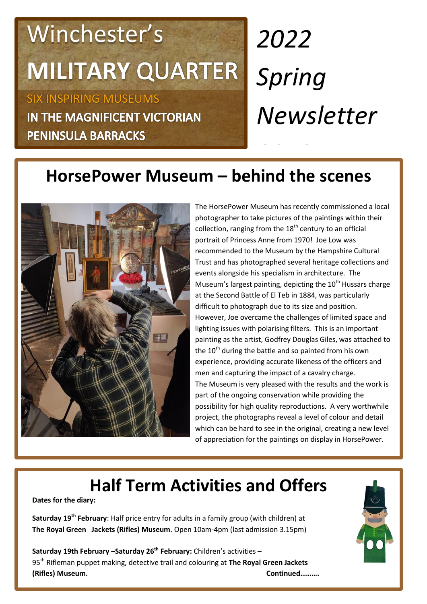## Winchester's **MILITARY**

SIX INSPIRING MUSEUMS IN THE MAGNIFICENT VICTORIAN **PENINSULA BARRACKS** 

# *2022 Spring Newsletter*

### *2018*  **HorsePower Museum – behind the scenes**



The HorsePower Museum has recently commissioned a local photographer to take pictures of the paintings within their collection, ranging from the  $18<sup>th</sup>$  century to an official portrait of Princess Anne from 1970! Joe Low was recommended to the Museum by the Hampshire Cultural Trust and has photographed several heritage collections and events alongside his specialism in architecture. The Museum's largest painting, depicting the  $10<sup>th</sup>$  Hussars charge at the Second Battle of El Teb in 1884, was particularly difficult to photograph due to its size and position. However, Joe overcame the challenges of limited space and lighting issues with polarising filters. This is an important painting as the artist, Godfrey Douglas Giles, was attached to the  $10<sup>th</sup>$  during the battle and so painted from his own experience, providing accurate likeness of the officers and men and capturing the impact of a cavalry charge. The Museum is very pleased with the results and the work is part of the ongoing conservation while providing the possibility for high quality reproductions. A very worthwhile project, the photographs reveal a level of colour and detail which can be hard to see in the original, creating a new level of appreciation for the paintings on display in HorsePower.

### **Half Term Activities and Offers**

**Dates for the diary:**

**Saturday 19th February**: Half price entry for adults in a family group (with children) at **The Royal Green Jackets (Rifles) Museum**. Open 10am-4pm (last admission 3.15pm)

**Saturday 19th February –Saturday 26th February:** Children's activities – 95th Rifleman puppet making, detective trail and colouring at **The Royal Green Jackets (Rifles) Museum. Continued……….**